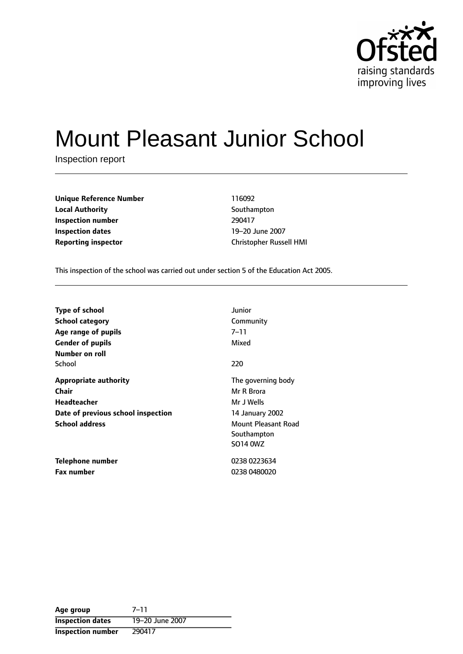

# Mount Pleasant Junior School

Inspection report

| <b>Unique Reference Number</b> | 116092      |
|--------------------------------|-------------|
| <b>Local Authority</b>         | Southa      |
| Inspection number              | 290417      |
| <b>Inspection dates</b>        | $19 - 20$ . |
| Reporting inspector            | Christo     |

**Southampton 19-20 June 2007 Reporting inspector** Christopher Russell HMI

This inspection of the school was carried out under section 5 of the Education Act 2005.

| Type of school                     | Junior              |
|------------------------------------|---------------------|
| <b>School category</b>             | Community           |
| Age range of pupils                | 7–11                |
| <b>Gender of pupils</b>            | Mixed               |
| Number on roll                     |                     |
| School                             | 220                 |
| <b>Appropriate authority</b>       | The governing body  |
| Chair                              | Mr R Brora          |
| <b>Headteacher</b>                 | Mr J Wells          |
| Date of previous school inspection | 14 January 2002     |
| <b>School address</b>              | Mount Pleasant Road |
|                                    | Southampton         |
|                                    | SO14 0WZ            |
| Telephone number                   | 0238 0223634        |
| <b>Fax number</b>                  | 0238 0480020        |

Age group 7-11 **Inspection dates** 19-20 June 2007 **Inspection number** 290417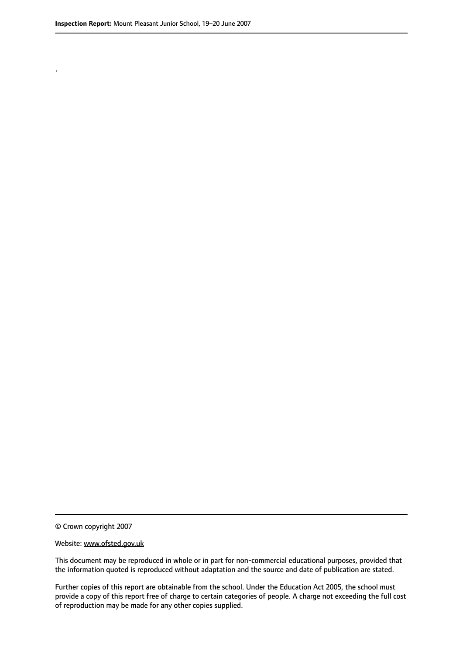.

© Crown copyright 2007

#### Website: www.ofsted.gov.uk

This document may be reproduced in whole or in part for non-commercial educational purposes, provided that the information quoted is reproduced without adaptation and the source and date of publication are stated.

Further copies of this report are obtainable from the school. Under the Education Act 2005, the school must provide a copy of this report free of charge to certain categories of people. A charge not exceeding the full cost of reproduction may be made for any other copies supplied.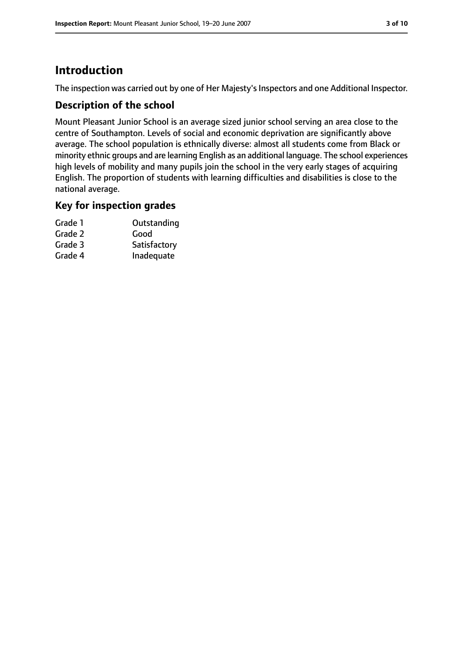# **Introduction**

The inspection was carried out by one of Her Majesty's Inspectors and one Additional Inspector.

### **Description of the school**

Mount Pleasant Junior School is an average sized junior school serving an area close to the centre of Southampton. Levels of social and economic deprivation are significantly above average. The school population is ethnically diverse: almost all students come from Black or minority ethnic groups and are learning English as an additional language. The school experiences high levels of mobility and many pupils join the school in the very early stages of acquiring English. The proportion of students with learning difficulties and disabilities is close to the national average.

#### **Key for inspection grades**

| Grade 1 | Outstanding  |
|---------|--------------|
| Grade 2 | Good         |
| Grade 3 | Satisfactory |
| Grade 4 | Inadequate   |
|         |              |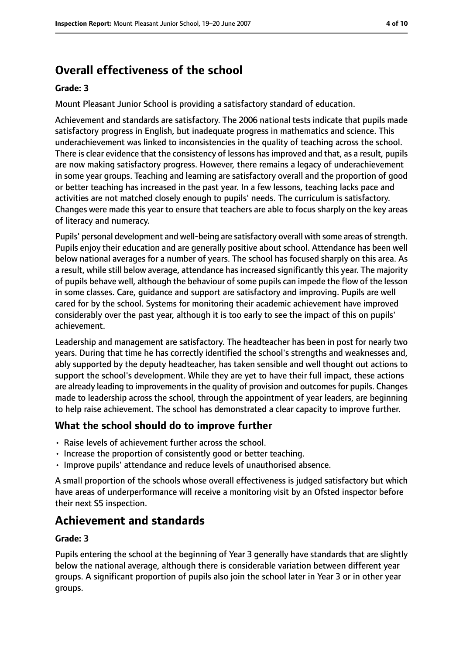# **Overall effectiveness of the school**

#### **Grade: 3**

Mount Pleasant Junior School is providing a satisfactory standard of education.

Achievement and standards are satisfactory. The 2006 national tests indicate that pupils made satisfactory progress in English, but inadequate progress in mathematics and science. This underachievement was linked to inconsistencies in the quality of teaching across the school. There is clear evidence that the consistency of lessons has improved and that, as a result, pupils are now making satisfactory progress. However, there remains a legacy of underachievement in some year groups. Teaching and learning are satisfactory overall and the proportion of good or better teaching has increased in the past year. In a few lessons, teaching lacks pace and activities are not matched closely enough to pupils' needs. The curriculum is satisfactory. Changes were made this year to ensure that teachers are able to focus sharply on the key areas of literacy and numeracy.

Pupils' personal development and well-being are satisfactory overall with some areas of strength. Pupils enjoy their education and are generally positive about school. Attendance has been well below national averages for a number of years. The school has focused sharply on this area. As a result, while still below average, attendance has increased significantly this year. The majority of pupils behave well, although the behaviour of some pupils can impede the flow of the lesson in some classes. Care, guidance and support are satisfactory and improving. Pupils are well cared for by the school. Systems for monitoring their academic achievement have improved considerably over the past year, although it is too early to see the impact of this on pupils' achievement.

Leadership and management are satisfactory. The headteacher has been in post for nearly two years. During that time he has correctly identified the school's strengths and weaknesses and, ably supported by the deputy headteacher, has taken sensible and well thought out actions to support the school's development. While they are yet to have their full impact, these actions are already leading to improvements in the quality of provision and outcomes for pupils. Changes made to leadership across the school, through the appointment of year leaders, are beginning to help raise achievement. The school has demonstrated a clear capacity to improve further.

#### **What the school should do to improve further**

- Raise levels of achievement further across the school.
- Increase the proportion of consistently good or better teaching.
- Improve pupils' attendance and reduce levels of unauthorised absence.

A small proportion of the schools whose overall effectiveness is judged satisfactory but which have areas of underperformance will receive a monitoring visit by an Ofsted inspector before their next S5 inspection.

## **Achievement and standards**

#### **Grade: 3**

Pupils entering the school at the beginning of Year 3 generally have standards that are slightly below the national average, although there is considerable variation between different year groups. A significant proportion of pupils also join the school later in Year 3 or in other year groups.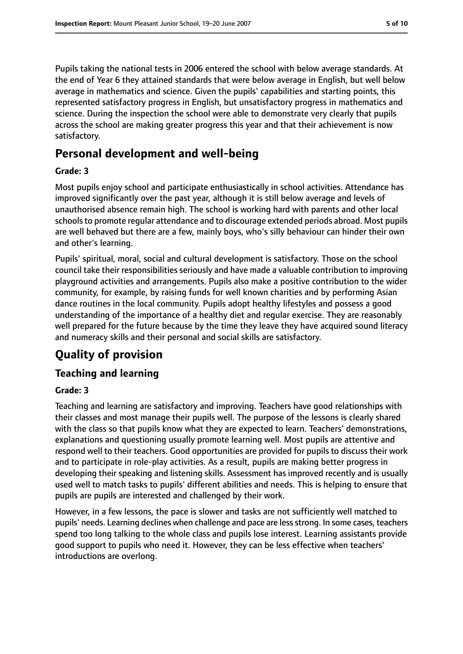Pupils taking the national tests in 2006 entered the school with below average standards. At the end of Year 6 they attained standards that were below average in English, but well below average in mathematics and science. Given the pupils' capabilities and starting points, this represented satisfactory progress in English, but unsatisfactory progress in mathematics and science. During the inspection the school were able to demonstrate very clearly that pupils across the school are making greater progress this year and that their achievement is now satisfactory.

## **Personal development and well-being**

#### **Grade: 3**

Most pupils enjoy school and participate enthusiastically in school activities. Attendance has improved significantly over the past year, although it is still below average and levels of unauthorised absence remain high. The school is working hard with parents and other local schools to promote regular attendance and to discourage extended periods abroad. Most pupils are well behaved but there are a few, mainly boys, who's silly behaviour can hinder their own and other's learning.

Pupils' spiritual, moral, social and cultural development is satisfactory. Those on the school council take their responsibilities seriously and have made a valuable contribution to improving playground activities and arrangements. Pupils also make a positive contribution to the wider community, for example, by raising funds for well known charities and by performing Asian dance routines in the local community. Pupils adopt healthy lifestyles and possess a good understanding of the importance of a healthy diet and regular exercise. They are reasonably well prepared for the future because by the time they leave they have acquired sound literacy and numeracy skills and their personal and social skills are satisfactory.

## **Quality of provision**

#### **Teaching and learning**

#### **Grade: 3**

Teaching and learning are satisfactory and improving. Teachers have good relationships with their classes and most manage their pupils well. The purpose of the lessons is clearly shared with the class so that pupils know what they are expected to learn. Teachers' demonstrations, explanations and questioning usually promote learning well. Most pupils are attentive and respond well to their teachers. Good opportunities are provided for pupils to discuss their work and to participate in role-play activities. As a result, pupils are making better progress in developing their speaking and listening skills. Assessment has improved recently and is usually used well to match tasks to pupils' different abilities and needs. This is helping to ensure that pupils are pupils are interested and challenged by their work.

However, in a few lessons, the pace is slower and tasks are not sufficiently well matched to pupils' needs. Learning declines when challenge and pace are lessstrong. In some cases, teachers spend too long talking to the whole class and pupils lose interest. Learning assistants provide good support to pupils who need it. However, they can be less effective when teachers' introductions are overlong.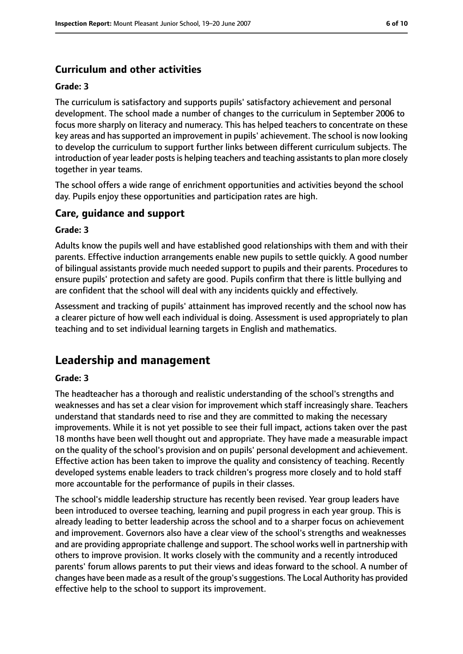## **Curriculum and other activities**

#### **Grade: 3**

The curriculum is satisfactory and supports pupils' satisfactory achievement and personal development. The school made a number of changes to the curriculum in September 2006 to focus more sharply on literacy and numeracy. This has helped teachers to concentrate on these key areas and has supported an improvement in pupils' achievement. The school is now looking to develop the curriculum to support further links between different curriculum subjects. The introduction of year leader posts is helping teachers and teaching assistants to plan more closely together in year teams.

The school offers a wide range of enrichment opportunities and activities beyond the school day. Pupils enjoy these opportunities and participation rates are high.

#### **Care, guidance and support**

#### **Grade: 3**

Adults know the pupils well and have established good relationships with them and with their parents. Effective induction arrangements enable new pupils to settle quickly. A good number of bilingual assistants provide much needed support to pupils and their parents. Procedures to ensure pupils' protection and safety are good. Pupils confirm that there is little bullying and are confident that the school will deal with any incidents quickly and effectively.

Assessment and tracking of pupils' attainment has improved recently and the school now has a clearer picture of how well each individual is doing. Assessment is used appropriately to plan teaching and to set individual learning targets in English and mathematics.

## **Leadership and management**

#### **Grade: 3**

The headteacher has a thorough and realistic understanding of the school's strengths and weaknesses and has set a clear vision for improvement which staff increasingly share. Teachers understand that standards need to rise and they are committed to making the necessary improvements. While it is not yet possible to see their full impact, actions taken over the past 18 months have been well thought out and appropriate. They have made a measurable impact on the quality of the school's provision and on pupils' personal development and achievement. Effective action has been taken to improve the quality and consistency of teaching. Recently developed systems enable leaders to track children's progress more closely and to hold staff more accountable for the performance of pupils in their classes.

The school's middle leadership structure has recently been revised. Year group leaders have been introduced to oversee teaching, learning and pupil progress in each year group. This is already leading to better leadership across the school and to a sharper focus on achievement and improvement. Governors also have a clear view of the school's strengths and weaknesses and are providing appropriate challenge and support. The school works well in partnership with others to improve provision. It works closely with the community and a recently introduced parents' forum allows parents to put their views and ideas forward to the school. A number of changes have been made as a result of the group'ssuggestions. The Local Authority has provided effective help to the school to support its improvement.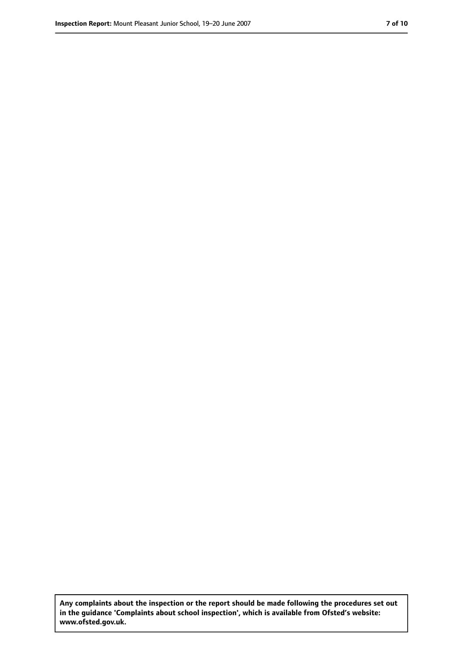**Any complaints about the inspection or the report should be made following the procedures set out in the guidance 'Complaints about school inspection', which is available from Ofsted's website: www.ofsted.gov.uk.**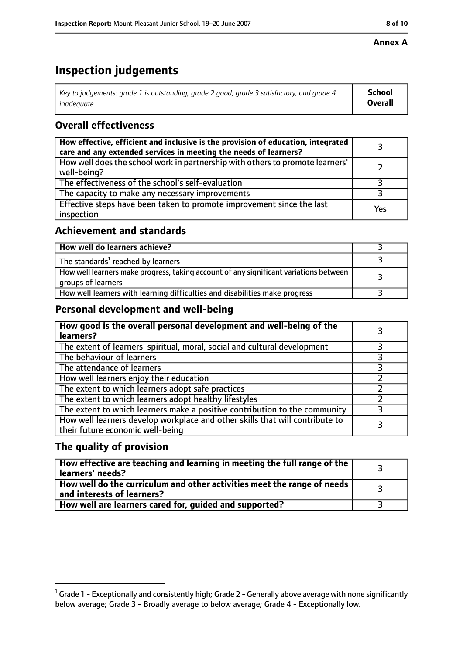#### **Annex A**

# **Inspection judgements**

| Key to judgements: grade 1 is outstanding, grade 2 good, grade 3 satisfactory, and grade 4 $\,$ | <b>School</b>  |
|-------------------------------------------------------------------------------------------------|----------------|
| inadequate                                                                                      | <b>Overall</b> |

## **Overall effectiveness**

| How effective, efficient and inclusive is the provision of education, integrated<br>care and any extended services in meeting the needs of learners? |     |
|------------------------------------------------------------------------------------------------------------------------------------------------------|-----|
| How well does the school work in partnership with others to promote learners'<br>well-being?                                                         |     |
| The effectiveness of the school's self-evaluation                                                                                                    |     |
| The capacity to make any necessary improvements                                                                                                      |     |
| Effective steps have been taken to promote improvement since the last<br>inspection                                                                  | Yes |

#### **Achievement and standards**

| How well do learners achieve?                                                                               |  |
|-------------------------------------------------------------------------------------------------------------|--|
| The standards <sup>1</sup> reached by learners                                                              |  |
| How well learners make progress, taking account of any significant variations between<br>groups of learners |  |
| How well learners with learning difficulties and disabilities make progress                                 |  |

## **Personal development and well-being**

| How good is the overall personal development and well-being of the<br>learners?                                  |  |
|------------------------------------------------------------------------------------------------------------------|--|
| The extent of learners' spiritual, moral, social and cultural development                                        |  |
| The behaviour of learners                                                                                        |  |
| The attendance of learners                                                                                       |  |
| How well learners enjoy their education                                                                          |  |
| The extent to which learners adopt safe practices                                                                |  |
| The extent to which learners adopt healthy lifestyles                                                            |  |
| The extent to which learners make a positive contribution to the community                                       |  |
| How well learners develop workplace and other skills that will contribute to<br>their future economic well-being |  |

## **The quality of provision**

| How effective are teaching and learning in meeting the full range of the<br>learners' needs?          |  |
|-------------------------------------------------------------------------------------------------------|--|
| How well do the curriculum and other activities meet the range of needs<br>and interests of learners? |  |
| How well are learners cared for, quided and supported?                                                |  |

 $^1$  Grade 1 - Exceptionally and consistently high; Grade 2 - Generally above average with none significantly below average; Grade 3 - Broadly average to below average; Grade 4 - Exceptionally low.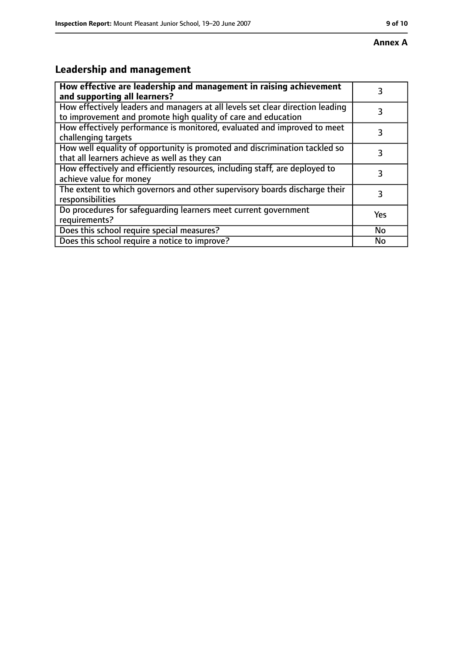# **Leadership and management**

| How effective are leadership and management in raising achievement<br>and supporting all learners?                                              | 3         |
|-------------------------------------------------------------------------------------------------------------------------------------------------|-----------|
| How effectively leaders and managers at all levels set clear direction leading<br>to improvement and promote high quality of care and education | 3         |
| How effectively performance is monitored, evaluated and improved to meet<br>challenging targets                                                 | 3         |
| How well equality of opportunity is promoted and discrimination tackled so<br>that all learners achieve as well as they can                     |           |
| How effectively and efficiently resources, including staff, are deployed to<br>achieve value for money                                          | 3         |
| The extent to which governors and other supervisory boards discharge their<br>responsibilities                                                  | 3         |
| Do procedures for safequarding learners meet current government<br>requirements?                                                                | Yes       |
| Does this school require special measures?                                                                                                      | <b>No</b> |
| Does this school require a notice to improve?                                                                                                   | No        |